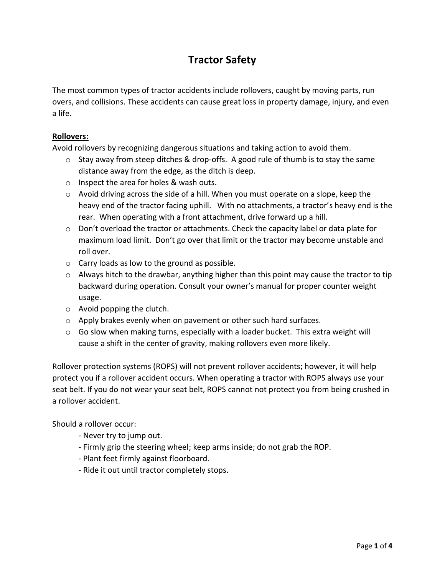# **Tractor Safety**

The most common types of tractor accidents include rollovers, caught by moving parts, run overs, and collisions. These accidents can cause great loss in property damage, injury, and even a life.

## **Rollovers:**

Avoid rollovers by recognizing dangerous situations and taking action to avoid them.

- $\circ$  Stay away from steep ditches & drop-offs. A good rule of thumb is to stay the same distance away from the edge, as the ditch is deep.
- o Inspect the area for holes & wash outs.
- $\circ$  Avoid driving across the side of a hill. When you must operate on a slope, keep the heavy end of the tractor facing uphill. With no attachments, a tractor's heavy end is the rear. When operating with a front attachment, drive forward up a hill.
- $\circ$  Don't overload the tractor or attachments. Check the capacity label or data plate for maximum load limit. Don't go over that limit or the tractor may become unstable and roll over.
- o Carry loads as low to the ground as possible.
- $\circ$  Always hitch to the drawbar, anything higher than this point may cause the tractor to tip backward during operation. Consult your owner's manual for proper counter weight usage.
- o Avoid popping the clutch.
- $\circ$  Apply brakes evenly when on pavement or other such hard surfaces.
- $\circ$  Go slow when making turns, especially with a loader bucket. This extra weight will cause a shift in the center of gravity, making rollovers even more likely.

Rollover protection systems (ROPS) will not prevent rollover accidents; however, it will help protect you if a rollover accident occurs. When operating a tractor with ROPS always use your seat belt. If you do not wear your seat belt, ROPS cannot not protect you from being crushed in a rollover accident.

Should a rollover occur:

- Never try to jump out.
- Firmly grip the steering wheel; keep arms inside; do not grab the ROP.
- Plant feet firmly against floorboard.
- Ride it out until tractor completely stops.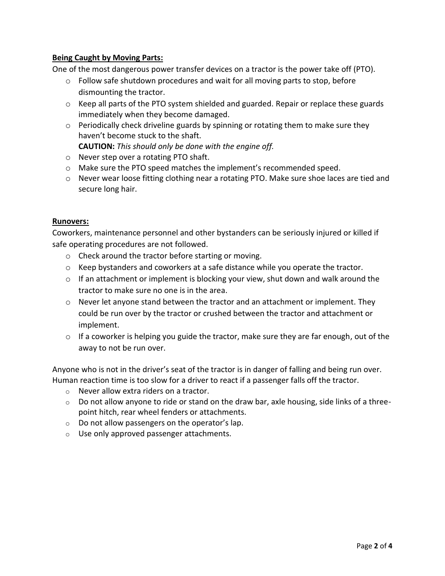## **Being Caught by Moving Parts:**

One of the most dangerous power transfer devices on a tractor is the power take off (PTO).

- $\circ$  Follow safe shutdown procedures and wait for all moving parts to stop, before dismounting the tractor.
- o Keep all parts of the PTO system shielded and guarded. Repair or replace these guards immediately when they become damaged.
- $\circ$  Periodically check driveline guards by spinning or rotating them to make sure they haven't become stuck to the shaft.

**CAUTION:** *This should only be done with the engine off.*

- o Never step over a rotating PTO shaft.
- o Make sure the PTO speed matches the implement's recommended speed.
- $\circ$  Never wear loose fitting clothing near a rotating PTO. Make sure shoe laces are tied and secure long hair.

### **Runovers:**

Coworkers, maintenance personnel and other bystanders can be seriously injured or killed if safe operating procedures are not followed.

- o Check around the tractor before starting or moving.
- $\circ$  Keep bystanders and coworkers at a safe distance while you operate the tractor.
- $\circ$  If an attachment or implement is blocking your view, shut down and walk around the tractor to make sure no one is in the area.
- o Never let anyone stand between the tractor and an attachment or implement. They could be run over by the tractor or crushed between the tractor and attachment or implement.
- o If a coworker is helping you guide the tractor, make sure they are far enough, out of the away to not be run over.

Anyone who is not in the driver's seat of the tractor is in danger of falling and being run over. Human reaction time is too slow for a driver to react if a passenger falls off the tractor.

- o Never allow extra riders on a tractor.
- $\circ$  Do not allow anyone to ride or stand on the draw bar, axle housing, side links of a threepoint hitch, rear wheel fenders or attachments.
- $\circ$  Do not allow passengers on the operator's lap.
- o Use only approved passenger attachments.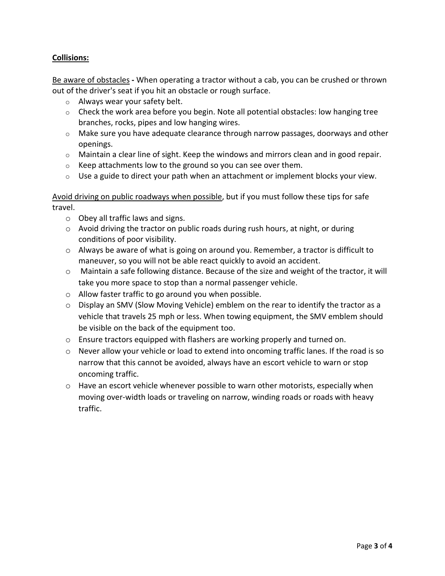## **Collisions:**

Be aware of obstacles **-** When operating a tractor without a cab, you can be crushed or thrown out of the driver's seat if you hit an obstacle or rough surface.

- o Always wear your safety belt.
- o Check the work area before you begin. Note all potential obstacles: low hanging tree branches, rocks, pipes and low hanging wires.
- o Make sure you have adequate clearance through narrow passages, doorways and other openings.
- $\circ$  Maintain a clear line of sight. Keep the windows and mirrors clean and in good repair.
- $\circ$  Keep attachments low to the ground so you can see over them.
- $\circ$  Use a guide to direct your path when an attachment or implement blocks your view.

Avoid driving on public roadways when possible, but if you must follow these tips for safe travel.

- o Obey all traffic laws and signs.
- o Avoid driving the tractor on public roads during rush hours, at night, or during conditions of poor visibility.
- $\circ$  Always be aware of what is going on around you. Remember, a tractor is difficult to maneuver, so you will not be able react quickly to avoid an accident.
- o Maintain a safe following distance. Because of the size and weight of the tractor, it will take you more space to stop than a normal passenger vehicle.
- o Allow faster traffic to go around you when possible.
- $\circ$  Display an SMV (Slow Moving Vehicle) emblem on the rear to identify the tractor as a vehicle that travels 25 mph or less. When towing equipment, the SMV emblem should be visible on the back of the equipment too.
- o Ensure tractors equipped with flashers are working properly and turned on.
- o Never allow your vehicle or load to extend into oncoming traffic lanes. If the road is so narrow that this cannot be avoided, always have an escort vehicle to warn or stop oncoming traffic.
- $\circ$  Have an escort vehicle whenever possible to warn other motorists, especially when moving over-width loads or traveling on narrow, winding roads or roads with heavy traffic.